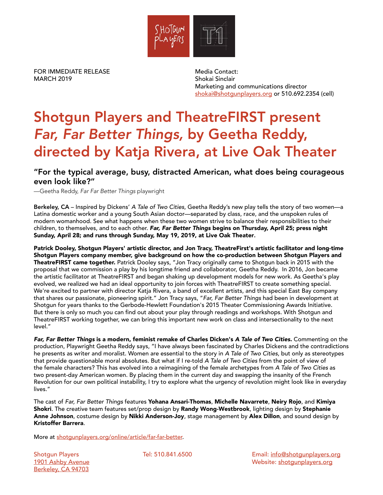

FOR IMMEDIATE RELEASE MARCH 2019

Media Contact: Shokai Sinclair Marketing and communications director [shokai@shotgunplayers.org](mailto:shokai%40shotgunplayers.org?subject=) or 510.692.2354 (cell)

# Shotgun Players and TheatreFIRST present *Far, Far Better Things,* by Geetha Reddy, directed by Katja Rivera, at Live Oak Theater

### "For the typical average, busy, distracted American, what does being courageous even look like?"

—Geetha Reddy, *Far Far Better Things* playwright

Berkeley, CA – Inspired by Dickens' *A Tale of Two Cities*, Geetha Reddy's new play tells the story of two women—a Latina domestic worker and a young South Asian doctor—separated by class, race, and the unspoken rules of modern womanhood. See what happens when these two women strive to balance their responsibilities to their children, to themselves, and to each other. *Far, Far Better Things* begins on Thursday, April 25; press night Sunday, April 28; and runs through Sunday, May 19, 2019, at Live Oak Theater.

Patrick Dooley, Shotgun Players' artistic director, and Jon Tracy, TheatreFirst's artistic facilitator and long-time Shotgun Players company member, give background on how the co-production between Shotgun Players and TheatreFIRST came together. Patrick Dooley says, "Jon Tracy originally came to Shotgun back in 2015 with the proposal that we commission a play by his longtime friend and collaborator, Geetha Reddy. In 2016, Jon became the artistic facilitator at TheatreFIRST and began shaking up development models for new work. As Geetha's play evolved, we realized we had an ideal opportunity to join forces with TheatreFIRST to create something special. We're excited to partner with director Katja Rivera, a band of excellent artists, and this special East Bay company that shares our passionate, pioneering spirit." Jon Tracy says, "*Far, Far Better Things* had been in development at Shotgun for years thanks to the Gerbode-Hewlett Foundation's 2015 Theater Commissioning Awards Initiative. But there is only so much you can find out about your play through readings and workshops. With Shotgun and TheatreFIRST working together, we can bring this important new work on class and intersectionality to the next level."

*Far, Far Better Things* is a modern, feminist remake of Charles Dicken's *A Tale of Two Cities*. Commenting on the production, Playwright Geetha Reddy says, "I have always been fascinated by Charles Dickens and the contradictions he presents as writer and moralist. Women are essential to the story in *A Tale of Two Cities*, but only as stereotypes that provide questionable moral absolutes. But what if I re-told *A Tale of Two Cities* from the point of view of the female characters? This has evolved into a reimagining of the female archetypes from *A Tale of Two Cities* as two present-day American women. By placing them in the current day and swapping the insanity of the French Revolution for our own political instability, I try to explore what the urgency of revolution might look like in everyday lives."

The cast of *Far, Far Better Things* features Yohana Ansari-Thomas, Michelle Navarrete, Neiry Rojo, and Kimiya Shokri. The creative team features set/prop design by Randy Wong-Westbrook, lighting design by Stephanie Anne Johnson, costume design by Nikki Anderson-Joy, stage management by Alex Dillon, and sound design by Kristoffer Barrera.

More at [shotgunplayers.org/online/article/far-far-better.](http://shotgunplayers.org/online/article/far-far-better)

Shotgun Players [1901 Ashby Avenue](https://goo.gl/maps/gRUVrtmUgSm) [Berkeley, CA 94703](https://goo.gl/maps/gRUVrtmUgSm)

Tel: 510.841.6500 Email: [info@shotgunplayers.org](mailto:info%40shotgunplayers.org?subject=) Website: [shotgunplayers.org](http://shotgunplayers.org)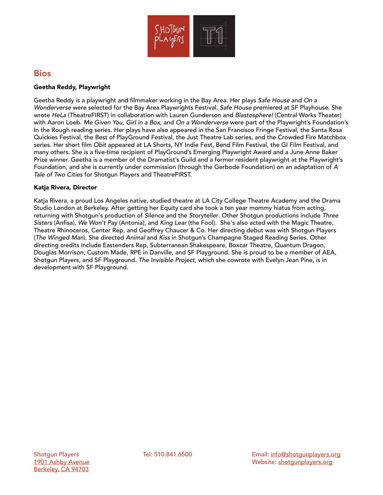

## Bios

#### Geetha Reddy, Playwright

Geetha Reddy is a playwright and filmmaker working in the Bay Area. Her plays *Safe House* and *On a Wonderverse* were selected for the Bay Area Playwrights Festival. *Safe House* premiered at SF Playhouse. She wrote *HeLa* (TheatreFIRST) in collaboration with Lauren Gunderson and *Blastosphere!* (Central Works Theater) with Aaron Loeb. *Me Given You*, *Girl in a Box*, and *On a Wonderverse* were part of the Playwright's Foundation's In the Rough reading series. Her plays have also appeared in the San Francisco Fringe Festival, the Santa Rosa Quickies Festival, the Best of PlayGround Festival, the Just Theatre Lab series, and the Crowded Fire Matchbox series. Her short film *Obit* appeared at LA Shorts, NY Indie Fest, Bend Film Festival, the GI Film Festival, and many others. She is a five-time recipient of PlayGround's Emerging Playwright Award and a June Anne Baker Prize winner. Geetha is a member of the Dramatist's Guild and a former resident playwright at the Playwright's Foundation, and she is currently under commission (through the Gerbode Foundation) on an adaptation of *A Tale of Two Cities* for Shotgun Players and TheatreFIRST.

#### Katja Rivera, Director

Katja Rivera, a proud Los Angeles native, studied theatre at LA City College Theatre Academy and the Drama Studio London at Berkeley. After getting her Equity card she took a ten year mommy hiatus from acting, returning with Shotgun's production of *Silence* and the *Storyteller*. Other Shotgun productions include *Three Sisters* (Anfisa), *We Won't Pay* (Antonia), and *King Lear* (the Fool). She's also acted with the Magic Theatre, Theatre Rhinoceros, Center Rep, and Geoffrey Chaucer & Co. Her directing debut was with Shotgun Players (*The Winged Man*). She directed *Animal* and *Kiss* in Shotgun's Champagne Staged Reading Series. Other directing credits include Eastenders Rep, Subterranean Shakespeare, Boxcar Theatre, Quantum Dragon, Douglas Morrison, Custom Made, RPE in Danville, and SF Playground. She is proud to be a member of AEA, Shotgun Players, and SF Playground. *The Invisible Project*, which she cowrote with Evelyn Jean Pine, is in development with SF Playground.